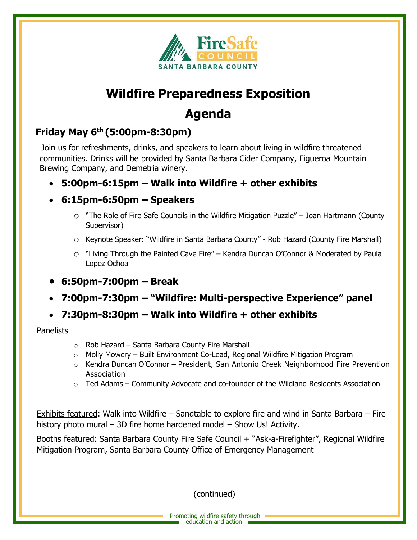

## **Agenda**

## **Friday May 6th (5:00pm-8:30pm)**

 Join us for refreshments, drinks, and speakers to learn about living in wildfire threatened communities. Drinks will be provided by Santa Barbara Cider Company, Figueroa Mountain Brewing Company, and Demetria winery.

• **5:00pm-6:15pm – Walk into Wildfire + other exhibits**

### • **6:15pm-6:50pm – Speakers**

- o "The Role of Fire Safe Councils in the Wildfire Mitigation Puzzle" Joan Hartmann (County Supervisor)
- o Keynote Speaker: "Wildfire in Santa Barbara County" Rob Hazard (County Fire Marshall)
- o "Living Through the Painted Cave Fire" Kendra Duncan O'Connor & Moderated by Paula Lopez Ochoa
- **6:50pm-7:00pm – Break**
- **7:00pm-7:30pm – "Wildfire: Multi-perspective Experience" panel**
- **7:30pm-8:30pm – Walk into Wildfire + other exhibits**

### **Panelists**

- o Rob Hazard Santa Barbara County Fire Marshall
- $\circ$  Molly Mowery Built Environment Co-Lead, Regional Wildfire Mitigation Program
- o Kendra Duncan O'Connor President, San Antonio Creek Neighborhood Fire Prevention Association
- $\circ$  Ted Adams Community Advocate and co-founder of the Wildland Residents Association

Exhibits featured: Walk into Wildfire – Sandtable to explore fire and wind in Santa Barbara – Fire history photo mural – 3D fire home hardened model – Show Us! Activity.

Booths featured: Santa Barbara County Fire Safe Council + "Ask-a-Firefighter", Regional Wildfire Mitigation Program, Santa Barbara County Office of Emergency Management

(continued)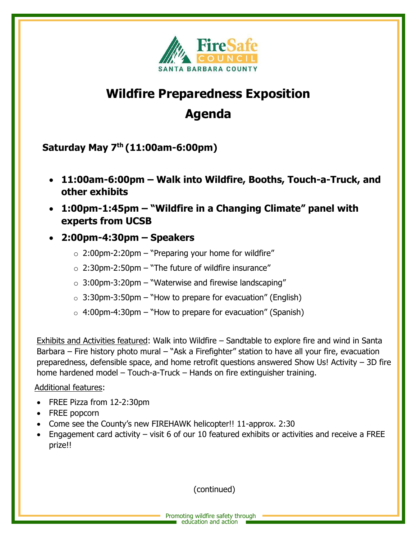

## **Agenda**

**Saturday May 7th (11:00am-6:00pm)**

- **11:00am-6:00pm – Walk into Wildfire, Booths, Touch-a-Truck, and other exhibits**
- **1:00pm-1:45pm – "Wildfire in a Changing Climate" panel with experts from UCSB**
- **2:00pm-4:30pm – Speakers**
	- $\circ$  2:00pm-2:20pm "Preparing your home for wildfire"
	- $\circ$  2:30pm-2:50pm "The future of wildfire insurance"
	- $\circ$  3:00pm-3:20pm "Waterwise and firewise landscaping"
	- $\circ$  3:30pm-3:50pm "How to prepare for evacuation" (English)
	- $\circ$  4:00pm-4:30pm "How to prepare for evacuation" (Spanish)

Exhibits and Activities featured: Walk into Wildfire – Sandtable to explore fire and wind in Santa Barbara – Fire history photo mural – "Ask a Firefighter" station to have all your fire, evacuation preparedness, defensible space, and home retrofit questions answered Show Us! Activity – 3D fire home hardened model – Touch-a-Truck – Hands on fire extinguisher training.

### Additional features:

- FREE Pizza from 12-2:30pm
- FREE popcorn
- Come see the County's new FIREHAWK helicopter!! 11-approx. 2:30
- Engagement card activity visit 6 of our 10 featured exhibits or activities and receive a FREE prize!!

(continued)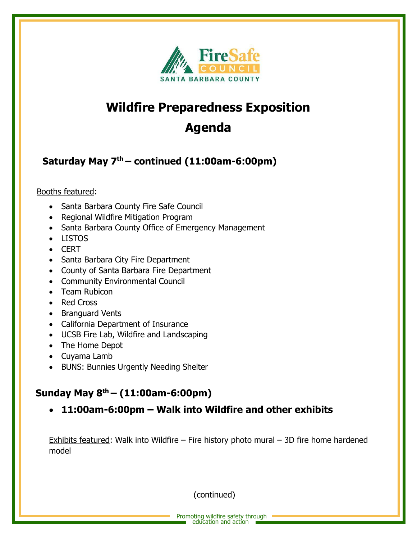

## **Agenda**

## **Saturday May 7th – continued (11:00am-6:00pm)**

### Booths featured:

- Santa Barbara County Fire Safe Council
- Regional Wildfire Mitigation Program
- Santa Barbara County Office of Emergency Management
- LISTOS
- CERT
- Santa Barbara City Fire Department
- County of Santa Barbara Fire Department
- Community Environmental Council
- Team Rubicon
- Red Cross
- Branguard Vents
- California Department of Insurance
- UCSB Fire Lab, Wildfire and Landscaping
- The Home Depot
- Cuyama Lamb
- BUNS: Bunnies Urgently Needing Shelter

## **Sunday May 8th – (11:00am-6:00pm)**

• **11:00am-6:00pm – Walk into Wildfire and other exhibits** 

Exhibits featured: Walk into Wildfire – Fire history photo mural – 3D fire home hardened model

(continued)